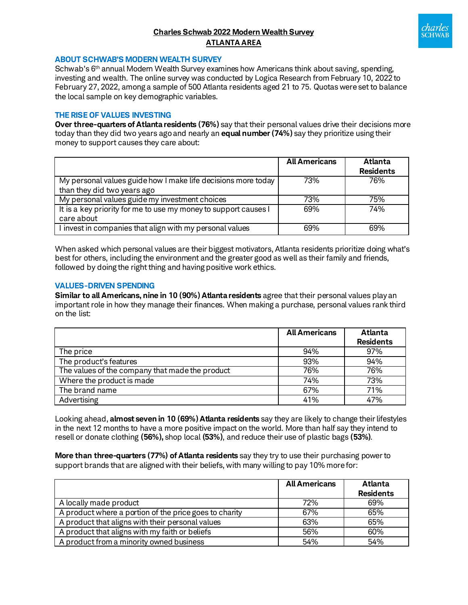# **Charles Schwab 2022 Modern Wealth Survey ATLANTA AREA**



### **ABOUT SCHWAB'S MODERN WEALTH SURVEY**

Schwab's 6<sup>th</sup> annual Modern Wealth Survey examines how Americans think about saving, spending, investing and wealth. The online survey was conducted by Logica Research from February 10, 2022 to February 27, 2022, among a sample of 500 Atlanta residents aged 21 to 75. Quotas were set to balance the local sample on key demographic variables.

## **THE RISE OF VALUES INVESTING**

**Over three-quarters of Atlanta residents (76%)** say that their personal values drive their decisions more today than they did two years ago and nearly an **equal number (74%)** say they prioritize using their money to support causes they care about:

|                                                                 | <b>All Americans</b> | <b>Atlanta</b>   |
|-----------------------------------------------------------------|----------------------|------------------|
|                                                                 |                      | <b>Residents</b> |
| My personal values guide how I make life decisions more today   | 73%                  | 76%              |
| than they did two years ago                                     |                      |                  |
| My personal values guide my investment choices                  | 73%                  | 75%              |
| It is a key priority for me to use my money to support causes I | 69%                  | 74%              |
| care about                                                      |                      |                  |
| I invest in companies that align with my personal values        | 69%                  | 69%              |

When asked which personal values are their biggest motivators, Atlanta residents prioritize doing what's best for others, including the environment and the greater good as well as their family and friends, followed by doing the right thing and having positive work ethics.

### **VALUES-DRIVEN SPENDING**

**Similar to all Americans, nine in 10 (90%) Atlanta residents** agree that their personal values play an important role in how they manage their finances. When making a purchase, personal values rank third on the list:

|                                                 | <b>All Americans</b> | Atlanta<br><b>Residents</b> |
|-------------------------------------------------|----------------------|-----------------------------|
| The price                                       | 94%                  | 97%                         |
| The product's features                          | 93%                  | 94%                         |
| The values of the company that made the product | 76%                  | 76%                         |
| Where the product is made                       | 74%                  | 73%                         |
| The brand name                                  | 67%                  | 71%                         |
| Advertising                                     | 41%                  | 47%                         |

Looking ahead, **almost seven in 10 (69%) Atlanta residents** say they are likely to change their lifestyles in the next 12 months to have a more positive impact on the world. More than half say they intend to resell or donate clothing **(56%),** shop local **(53%)**, and reduce their use of plastic bags **(53%)**.

**More than three-quarters (77%) of Atlanta residents** say they try to use their purchasing power to support brands that are aligned with their beliefs, with many willing to pay 10% more for:

|                                                        | <b>All Americans</b> | Atlanta          |
|--------------------------------------------------------|----------------------|------------------|
|                                                        |                      | <b>Residents</b> |
| A locally made product                                 | 72%                  | 69%              |
| A product where a portion of the price goes to charity | 67%                  | 65%              |
| A product that aligns with their personal values       | 63%                  | 65%              |
| A product that aligns with my faith or beliefs         | 56%                  | 60%              |
| A product from a minority owned business               | 54%                  | 54%              |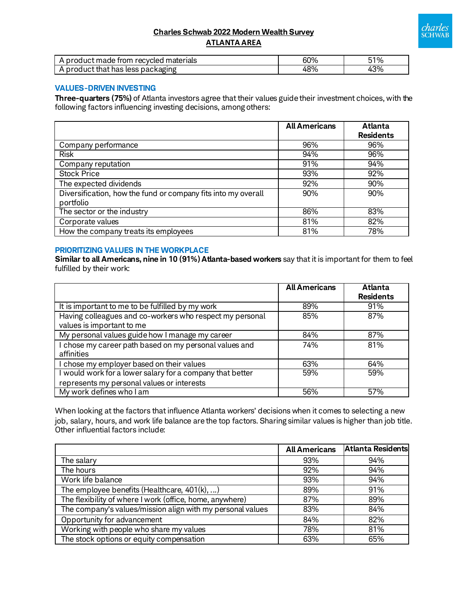# charles<br>sCHWAB

## **Charles Schwab 2022 Modern Wealth Survey ATLANTA AREA**

| . product made<br>ı recvcled materials<br>trom | 60% | 51% |
|------------------------------------------------|-----|-----|
| <b>packaging</b><br>. product that has less i  | 48% | 43% |

# **VALUES-DRIVEN INVESTING**

**Three-quarters (75%)** of Atlanta investors agree that their values guide their investment choices, with the following factors influencing investing decisions, among others:

|                                                               | <b>All Americans</b> | <b>Atlanta</b>   |
|---------------------------------------------------------------|----------------------|------------------|
|                                                               |                      | <b>Residents</b> |
| Company performance                                           | 96%                  | 96%              |
| <b>Risk</b>                                                   | 94%                  | 96%              |
| Company reputation                                            | 91%                  | 94%              |
| <b>Stock Price</b>                                            | 93%                  | 92%              |
| The expected dividends                                        | 92%                  | 90%              |
| Diversification, how the fund or company fits into my overall | 90%                  | 90%              |
| portfolio                                                     |                      |                  |
| The sector or the industry                                    | 86%                  | 83%              |
| Corporate values                                              | 81%                  | 82%              |
| How the company treats its employees                          | 81%                  | 78%              |

## **PRIORITIZING VALUES IN THE WORKPLACE**

**Similar to all Americans, nine in 10 (91%) Atlanta-based workers** say that it is important for them to feel fulfilled by their work:

|                                                           | <b>All Americans</b> | <b>Atlanta</b>   |
|-----------------------------------------------------------|----------------------|------------------|
|                                                           |                      | <b>Residents</b> |
| It is important to me to be fulfilled by my work          | 89%                  | 91%              |
| Having colleagues and co-workers who respect my personal  | 85%                  | 87%              |
| values is important to me                                 |                      |                  |
| My personal values guide how I manage my career           | 84%                  | 87%              |
| I chose my career path based on my personal values and    | 74%                  | 81%              |
| affinities                                                |                      |                  |
| I chose my employer based on their values                 | 63%                  | 64%              |
| I would work for a lower salary for a company that better | 59%                  | 59%              |
| represents my personal values or interests                |                      |                  |
| My work defines who I am                                  | 56%                  | 57%              |

When looking at the factors that influence Atlanta workers' decisions when it comes to selecting a new job, salary, hours, and work life balance are the top factors. Sharing similar values is higher than job title. Other influential factors include:

|                                                            | <b>All Americans</b> | <b>Atlanta Residents</b> |
|------------------------------------------------------------|----------------------|--------------------------|
| The salary                                                 | 93%                  | 94%                      |
| The hours                                                  | 92%                  | 94%                      |
| Work life balance                                          | 93%                  | 94%                      |
| The employee benefits (Healthcare, 401(k), )               | 89%                  | 91%                      |
| The flexibility of where I work (office, home, anywhere)   | 87%                  | 89%                      |
| The company's values/mission align with my personal values | 83%                  | 84%                      |
| Opportunity for advancement                                | 84%                  | 82%                      |
| Working with people who share my values                    | 78%                  | 81%                      |
| The stock options or equity compensation                   | 63%                  | 65%                      |